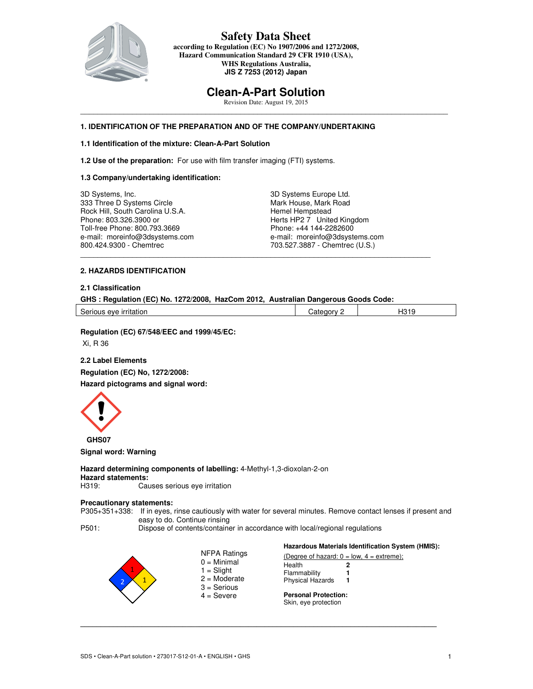

### **Safety Data Sheet according to Regulation (EC) No 1907/2006 and 1272/2008, Hazard Communication Standard 29 CFR 1910 (USA), WHS Regulations Australia, JIS Z 7253 (2012) Japan**

# **Clean-A-Part Solution**

Revision Date: August 19, 2015  $\_$  . The contribution of the contribution of the contribution of the contribution of the contribution of the contribution of the contribution of the contribution of the contribution of the contribution of the contributio

### **1. IDENTIFICATION OF THE PREPARATION AND OF THE COMPANY/UNDERTAKING**

### **1.1 Identification of the mixture: Clean-A-Part Solution**

**1.2 Use of the preparation:** For use with film transfer imaging (FTI) systems.

#### **1.3 Company/undertaking identification:**

3D Systems, Inc. 333 Three D Systems Circle Rock Hill, South Carolina U.S.A. Phone: 803.326.3900 or Toll-free Phone: 800.793.3669 e-mail: moreinfo@3dsystems.com 800.424.9300 - Chemtrec

3D Systems Europe Ltd. Mark House, Mark Road Hemel Hempstead Herts HP2 7 United Kingdom Phone: +44 144-2282600 e-mail: moreinfo@3dsystems.com 703.527.3887 - Chemtrec (U.S.)

#### **2. HAZARDS IDENTIFICATION**

## **2.1 Classification**

| GHS: Regulation (EC) No. 1272/2008, HazCom 2012, Australian Dangerous Goods Code: |  |  |  |
|-----------------------------------------------------------------------------------|--|--|--|
|                                                                                   |  |  |  |

\_\_\_\_\_\_\_\_\_\_\_\_\_\_\_\_\_\_\_\_\_\_\_\_\_\_\_\_\_\_\_\_\_\_\_\_\_\_\_\_\_\_\_\_\_\_\_\_\_\_\_\_\_\_\_\_\_\_\_\_\_\_\_\_\_\_\_\_\_\_\_\_\_\_\_\_\_\_\_\_\_

Serious eye irritation and the Category 2 H319

**Hazardous Materials Identification System (HMIS):**

**Regulation (EC) 67/548/EEC and 1999/45/EC:** 

Xi, R 36

#### **2.2 Label Elements**

**Regulation (EC) No, 1272/2008:** 

**Hazard pictograms and signal word:** 



**Signal word: Warning** 

**Hazard determining components of labelling:** 4-Methyl-1,3-dioxolan-2-on **Hazard statements:**  Causes serious eye irritation

## **Precautionary statements:**

P305+351+338: If in eyes, rinse cautiously with water for several minutes. Remove contact lenses if present and easy to do. Continue rinsing

P501: Dispose of contents/container in accordance with local/regional regulations

|                                                                  | Hazardous materials identification system (HMIS):   |  |  |
|------------------------------------------------------------------|-----------------------------------------------------|--|--|
| NFPA Ratings                                                     | (Degree of hazard: $0 = low$ , $4 = extreme$ );     |  |  |
| $0 =$ Minimal<br>$1 =$ Slight<br>$2 =$ Moderate<br>$3 =$ Serious | Health<br>Flammability<br><b>Physical Hazards</b>   |  |  |
| $4 =$ Severe                                                     | <b>Personal Protection:</b><br>Skin, eye protection |  |  |

**\_\_\_\_\_\_\_\_\_\_\_\_\_\_\_\_\_\_\_\_\_\_\_\_\_\_\_\_\_\_\_\_\_\_\_\_\_\_\_\_\_\_\_\_\_\_\_\_\_\_\_\_\_\_\_\_\_\_\_\_\_\_\_\_\_\_\_\_\_\_\_\_\_\_\_\_\_\_\_\_\_\_\_\_\_\_\_**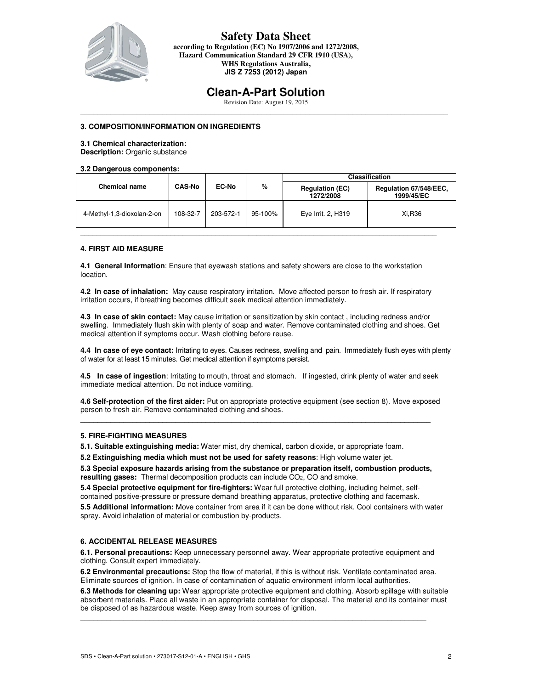

**according to Regulation (EC) No 1907/2006 and 1272/2008, Hazard Communication Standard 29 CFR 1910 (USA), WHS Regulations Australia, JIS Z 7253 (2012) Japan** 

# **Clean-A-Part Solution**

Revision Date: August 19, 2015  $\_$  . The contribution of the contribution of the contribution of the contribution of the contribution of the contribution of the contribution of the contribution of the contribution of the contribution of the contributio

### **3. COMPOSITION/INFORMATION ON INGREDIENTS**

## **3.1 Chemical characterization:**

**Description:** Organic substance

#### **3.2 Dangerous components:**

|                            | <b>CAS-No</b> | EC-No     | %       | <b>Classification</b>               |                                      |  |
|----------------------------|---------------|-----------|---------|-------------------------------------|--------------------------------------|--|
| <b>Chemical name</b>       |               |           |         | <b>Regulation (EC)</b><br>1272/2008 | Regulation 67/548/EEC,<br>1999/45/EC |  |
| 4-Methyl-1,3-dioxolan-2-on | 108-32-7      | 203-572-1 | 95-100% | Eye Irrit. 2, H319                  | Xi.R36                               |  |
|                            |               |           |         |                                     |                                      |  |

#### **4. FIRST AID MEASURE**

**4.1 General Information**: Ensure that eyewash stations and safety showers are close to the workstation location.

**4.2 In case of inhalation:** May cause respiratory irritation. Move affected person to fresh air. If respiratory irritation occurs, if breathing becomes difficult seek medical attention immediately.

**4.3 In case of skin contact:** May cause irritation or sensitization by skin contact , including redness and/or swelling. Immediately flush skin with plenty of soap and water. Remove contaminated clothing and shoes. Get medical attention if symptoms occur. Wash clothing before reuse.

**4.4 In case of eye contact:** Irritating to eyes. Causes redness, swelling and pain. Immediately flush eyes with plenty of water for at least 15 minutes. Get medical attention if symptoms persist.

**4.5 In case of ingestion**: Irritating to mouth, throat and stomach. If ingested, drink plenty of water and seek immediate medical attention. Do not induce vomiting.

**4.6 Self-protection of the first aider:** Put on appropriate protective equipment (see section 8). Move exposed person to fresh air. Remove contaminated clothing and shoes.  $\_$  . The contribution of the contribution of the contribution of the contribution of the contribution of the contribution of the contribution of the contribution of the contribution of the contribution of the contributio

#### **5. FIRE-FIGHTING MEASURES**

**5.1. Suitable extinguishing media:** Water mist, dry chemical, carbon dioxide, or appropriate foam.

**5.2 Extinguishing media which must not be used for safety reasons**: High volume water jet.

**5.3 Special exposure hazards arising from the substance or preparation itself, combustion products, resulting gases:** Thermal decomposition products can include CO2, CO and smoke.

**5.4 Special protective equipment for fire-fighters:** Wear full protective clothing, including helmet, selfcontained positive-pressure or pressure demand breathing apparatus, protective clothing and facemask.

**5.5 Additional information:** Move container from area if it can be done without risk. Cool containers with water spray. Avoid inhalation of material or combustion by-products.

#### **6. ACCIDENTAL RELEASE MEASURES**

**6.1. Personal precautions:** Keep unnecessary personnel away. Wear appropriate protective equipment and clothing. Consult expert immediately.

\_\_\_\_\_\_\_\_\_\_\_\_\_\_\_\_\_\_\_\_\_\_\_\_\_\_\_\_\_\_\_\_\_\_\_\_\_\_\_\_\_\_\_\_\_\_\_\_\_\_\_\_\_\_\_\_\_\_\_\_\_\_\_\_\_\_\_\_\_\_\_\_\_\_\_\_\_\_\_\_

**6.2 Environmental precautions:** Stop the flow of material, if this is without risk. Ventilate contaminated area. Eliminate sources of ignition. In case of contamination of aquatic environment inform local authorities.

 $\_$  . The contribution of the contribution of the contribution of the contribution of the contribution of the contribution of the contribution of the contribution of the contribution of the contribution of the contributio

**6.3 Methods for cleaning up:** Wear appropriate protective equipment and clothing. Absorb spillage with suitable absorbent materials. Place all waste in an appropriate container for disposal. The material and its container must be disposed of as hazardous waste. Keep away from sources of ignition.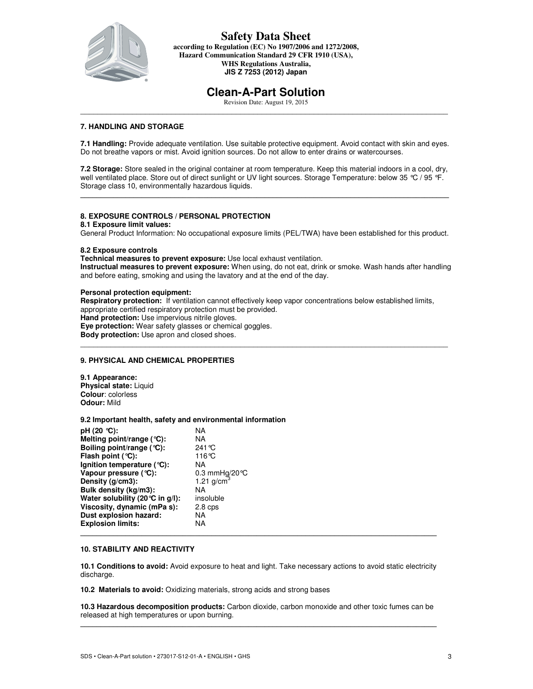

**according to Regulation (EC) No 1907/2006 and 1272/2008, Hazard Communication Standard 29 CFR 1910 (USA), WHS Regulations Australia, JIS Z 7253 (2012) Japan** 

# **Clean-A-Part Solution**

Revision Date: August 19, 2015  $\_$  . The contribution of the contribution of the contribution of the contribution of the contribution of the contribution of the contribution of the contribution of the contribution of the contribution of the contributio

### **7. HANDLING AND STORAGE**

**7.1 Handling:** Provide adequate ventilation. Use suitable protective equipment. Avoid contact with skin and eyes. Do not breathe vapors or mist. Avoid ignition sources. Do not allow to enter drains or watercourses.

**7.2 Storage:** Store sealed in the original container at room temperature. Keep this material indoors in a cool, dry, well ventilated place. Store out of direct sunlight or UV light sources. Storage Temperature: below 35 °C / 95 °F. Storage class 10, environmentally hazardous liquids.

**\_\_\_\_\_\_\_\_\_\_\_\_\_\_\_\_\_\_\_\_\_\_\_\_\_\_\_\_\_\_\_\_\_\_\_\_\_\_\_\_\_\_\_\_\_\_\_\_\_\_\_\_\_\_\_\_\_\_\_\_\_\_\_\_\_\_\_\_\_\_\_\_\_\_\_\_\_\_\_\_\_\_\_\_\_\_\_\_\_\_** 

#### **8. EXPOSURE CONTROLS / PERSONAL PROTECTION**

#### **8.1 Exposure limit values:**

General Product Information: No occupational exposure limits (PEL/TWA) have been established for this product.

#### **8.2 Exposure controls**

**Technical measures to prevent exposure:** Use local exhaust ventilation. **Instructual measures to prevent exposure:** When using, do not eat, drink or smoke. Wash hands after handling and before eating, smoking and using the lavatory and at the end of the day.

#### **Personal protection equipment:**

**Respiratory protection:** If ventilation cannot effectively keep vapor concentrations below established limits, appropriate certified respiratory protection must be provided. **Hand protection:** Use impervious nitrile gloves. **Eye protection:** Wear safety glasses or chemical goggles. **Body protection:** Use apron and closed shoes. \_\_\_\_\_\_\_\_\_\_\_\_\_\_\_\_\_\_\_\_\_\_\_\_\_\_\_\_\_\_\_\_\_\_\_\_\_\_\_\_\_\_\_\_\_\_\_\_\_\_\_\_\_\_\_\_\_\_\_\_\_\_\_\_\_\_\_\_\_\_\_\_\_\_\_\_\_\_\_\_\_\_\_\_\_

#### **9. PHYSICAL AND CHEMICAL PROPERTIES**

**9.1 Appearance: Physical state:** Liquid **Colour**: colorless **Odour:** Mild

#### **9.2 Important health, safety and environmental information**

| pH (20 ℃):                                | NA                      |
|-------------------------------------------|-------------------------|
| Melting point/range $(°C)$ :              | ΝA                      |
| Boiling point/range $({}^{\circ}C)$ :     | 241 °C                  |
| Flash point $(°C)$ :                      | 116°C                   |
| Ignition temperature ( $°C$ ):            | ΝA                      |
| Vapour pressure $(°C)$ :                  | 0.3 mmHg/20 $\degree$ C |
| Density (g/cm3):                          | 1.21 $g/cm3$            |
| Bulk density (kg/m3):                     | NA                      |
| Water solubility (20 $\degree$ C in g/l): | insoluble               |
| Viscosity, dynamic (mPa s):               | 2.8 <sub>cps</sub>      |
| Dust explosion hazard:                    | NA                      |
| <b>Explosion limits:</b>                  | NA                      |
|                                           |                         |

#### **10. STABILITY AND REACTIVITY**

**10.1 Conditions to avoid:** Avoid exposure to heat and light. Take necessary actions to avoid static electricity discharge.

**10.2 Materials to avoid:** Oxidizing materials, strong acids and strong bases

**10.3 Hazardous decomposition products:** Carbon dioxide, carbon monoxide and other toxic fumes can be released at high temperatures or upon burning. **\_\_\_\_\_\_\_\_\_\_\_\_\_\_\_\_\_\_\_\_\_\_\_\_\_\_\_\_\_\_\_\_\_\_\_\_\_\_\_\_\_\_\_\_\_\_\_\_\_\_\_\_\_\_\_\_\_\_\_\_\_\_\_\_\_\_\_\_\_\_\_\_\_\_\_\_\_\_\_\_\_\_\_\_\_\_\_**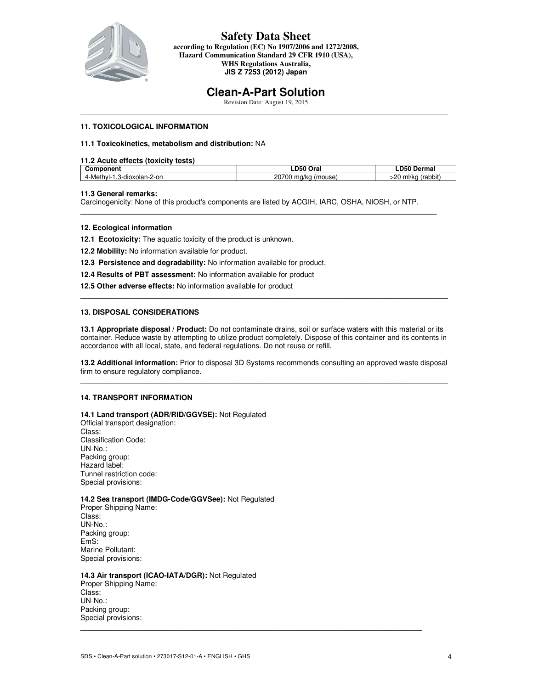

**according to Regulation (EC) No 1907/2006 and 1272/2008, Hazard Communication Standard 29 CFR 1910 (USA), WHS Regulations Australia, JIS Z 7253 (2012) Japan** 

# **Clean-A-Part Solution**

Revision Date: August 19, 2015  $\_$  . The contribution of the contribution of the contribution of the contribution of the contribution of the contribution of the contribution of the contribution of the contribution of the contribution of the contributio

### **11. TOXICOLOGICAL INFORMATION**

#### **11.1 Toxicokinetics, metabolism and distribution:** NA

#### **11.2 Acute effects (toxicity tests)**

| ------<br>121 I I                             | <b>DE0</b><br>Oral<br>.               | ---<br>ermal<br>De<br>эu<br>∼                                 |
|-----------------------------------------------|---------------------------------------|---------------------------------------------------------------|
| <br>3-dioxolan-2-on<br>-Met.<br>'IVI-<br>- 1- | no-<br>-- -<br>`70G<br>mouse<br>ma/kc | n r<br>$\lambda$ and $\lambda$ in $\lambda$<br>ml/kc<br>abbii |

#### **11.3 General remarks:**

Carcinogenicity: None of this product's components are listed by ACGIH, IARC, OSHA, NIOSH, or NTP.

**\_\_\_\_\_\_\_\_\_\_\_\_\_\_\_\_\_\_\_\_\_\_\_\_\_\_\_\_\_\_\_\_\_\_\_\_\_\_\_\_\_\_\_\_\_\_\_\_\_\_\_\_\_\_\_\_\_\_\_\_\_\_\_\_\_\_\_\_\_\_\_\_\_\_\_\_\_\_\_\_\_\_\_\_\_\_\_** 

#### **12. Ecological information**

- **12.1 Ecotoxicity:** The aquatic toxicity of the product is unknown.
- **12.2 Mobility:** No information available for product.
- **12.3 Persistence and degradability:** No information available for product.
- **12.4 Results of PBT assessment:** No information available for product
- **12.5 Other adverse effects:** No information available for product

#### **13. DISPOSAL CONSIDERATIONS**

**13.1 Appropriate disposal / Product:** Do not contaminate drains, soil or surface waters with this material or its container. Reduce waste by attempting to utilize product completely. Dispose of this container and its contents in accordance with all local, state, and federal regulations. Do not reuse or refill.

**\_\_\_\_\_\_\_\_\_\_\_\_\_\_\_\_\_\_\_\_\_\_\_\_\_\_\_\_\_\_\_\_\_\_\_\_\_\_\_\_\_\_\_\_\_\_\_\_\_\_\_\_\_\_\_\_\_\_\_\_\_\_\_\_\_\_\_\_\_\_\_\_\_\_\_\_\_\_\_\_\_\_\_\_\_** 

**13.2 Additional information:** Prior to disposal 3D Systems recommends consulting an approved waste disposal firm to ensure regulatory compliance. \_\_\_\_\_\_\_\_\_\_\_\_\_\_\_\_\_\_\_\_\_\_\_\_\_\_\_\_\_\_\_\_\_\_\_\_\_\_\_\_\_\_\_\_\_\_\_\_\_\_\_\_\_\_\_\_\_\_\_\_\_\_\_\_\_\_\_\_\_\_\_\_\_\_\_\_\_\_\_\_\_\_\_\_\_

\_\_\_\_\_\_\_\_\_\_\_\_\_\_\_\_\_\_\_\_\_\_\_\_\_\_\_\_\_\_\_\_\_\_\_\_\_\_\_\_\_\_\_\_\_\_\_\_\_\_\_\_\_\_\_\_\_\_\_\_\_\_\_\_\_\_\_\_\_\_\_\_\_\_\_\_\_\_\_

#### **14. TRANSPORT INFORMATION**

## **14.1 Land transport (ADR/RID/GGVSE):** Not Regulated

Official transport designation: Class: Classification Code: UN-No.: Packing group: Hazard label: Tunnel restriction code: Special provisions:

#### **14.2 Sea transport (IMDG-Code/GGVSee):** Not Regulated

Proper Shipping Name: Class: UN-No.: Packing group: EmS: Marine Pollutant: Special provisions:

#### **14.3 Air transport (ICAO-IATA/DGR):** Not Regulated

Proper Shipping Name: Class: UN-No.: Packing group: Special provisions: